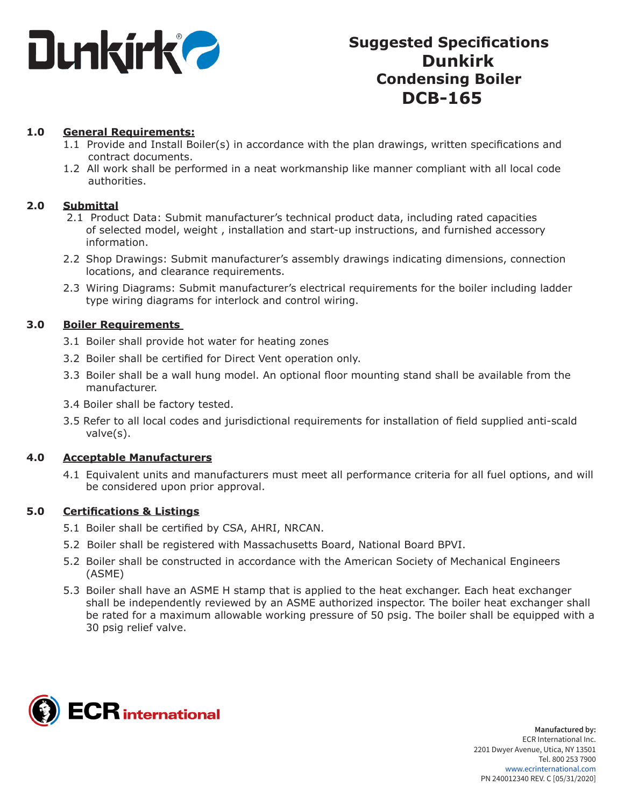

# **Suggested Specifications Dunkirk Condensing Boiler DCB-165**

# **1.0 General Requirements:**

- 1.1 Provide and Install Boiler(s) in accordance with the plan drawings, written specifications and contract documents.
- 1.2 All work shall be performed in a neat workmanship like manner compliant with all local code authorities.

# **2.0 Submittal**

- 2.1 Product Data: Submit manufacturer's technical product data, including rated capacities of selected model, weight , installation and start-up instructions, and furnished accessory information.
- 2.2 Shop Drawings: Submit manufacturer's assembly drawings indicating dimensions, connection locations, and clearance requirements.
- 2.3 Wiring Diagrams: Submit manufacturer's electrical requirements for the boiler including ladder type wiring diagrams for interlock and control wiring.

# **3.0 Boiler Requirements**

- 3.1 Boiler shall provide hot water for heating zones
- 3.2 Boiler shall be certified for Direct Vent operation only.
- 3.3 Boiler shall be a wall hung model. An optional floor mounting stand shall be available from the manufacturer.
- 3.4 Boiler shall be factory tested.
- 3.5 Refer to all local codes and jurisdictional requirements for installation of field supplied anti-scald valve(s).

#### **4.0 Acceptable Manufacturers**

4.1 Equivalent units and manufacturers must meet all performance criteria for all fuel options, and will be considered upon prior approval.

#### **5.0 Certifications & Listings**

- 5.1 Boiler shall be certified by CSA, AHRI, NRCAN.
- 5.2 Boiler shall be registered with Massachusetts Board, National Board BPVI.
- 5.2 Boiler shall be constructed in accordance with the American Society of Mechanical Engineers (ASME)
- 5.3 Boiler shall have an ASME H stamp that is applied to the heat exchanger. Each heat exchanger shall be independently reviewed by an ASME authorized inspector. The boiler heat exchanger shall be rated for a maximum allowable working pressure of 50 psig. The boiler shall be equipped with a 30 psig relief valve.

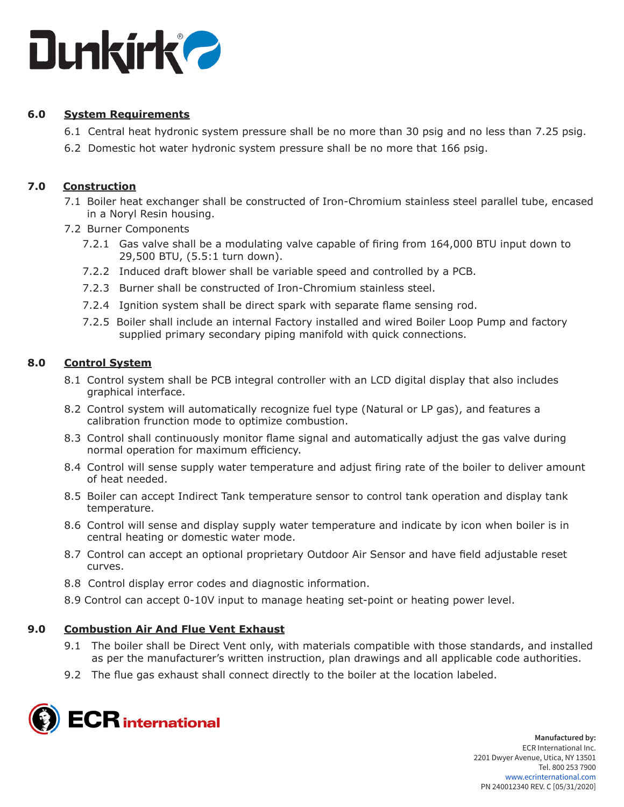

# **6.0 System Requirements**

- 6.1 Central heat hydronic system pressure shall be no more than 30 psig and no less than 7.25 psig.
- 6.2 Domestic hot water hydronic system pressure shall be no more that 166 psig.

# **7.0 Construction**

- 7.1 Boiler heat exchanger shall be constructed of Iron-Chromium stainless steel parallel tube, encased in a Noryl Resin housing.
- 7.2 Burner Components
	- 7.2.1 Gas valve shall be a modulating valve capable of firing from 164,000 BTU input down to 29,500 BTU, (5.5:1 turn down).
	- 7.2.2 Induced draft blower shall be variable speed and controlled by a PCB.
	- 7.2.3 Burner shall be constructed of Iron-Chromium stainless steel.
	- 7.2.4 Ignition system shall be direct spark with separate flame sensing rod.
	- 7.2.5 Boiler shall include an internal Factory installed and wired Boiler Loop Pump and factory supplied primary secondary piping manifold with quick connections.

# **8.0 Control System**

- 8.1 Control system shall be PCB integral controller with an LCD digital display that also includes graphical interface.
- 8.2 Control system will automatically recognize fuel type (Natural or LP gas), and features a calibration frunction mode to optimize combustion.
- 8.3 Control shall continuously monitor flame signal and automatically adjust the gas valve during normal operation for maximum efficiency.
- 8.4 Control will sense supply water temperature and adjust firing rate of the boiler to deliver amount of heat needed.
- 8.5 Boiler can accept Indirect Tank temperature sensor to control tank operation and display tank temperature.
- 8.6 Control will sense and display supply water temperature and indicate by icon when boiler is in central heating or domestic water mode.
- 8.7 Control can accept an optional proprietary Outdoor Air Sensor and have field adjustable reset curves.
- 8.8 Control display error codes and diagnostic information.
- 8.9 Control can accept 0-10V input to manage heating set-point or heating power level.

# **9.0 Combustion Air And Flue Vent Exhaust**

- 9.1 The boiler shall be Direct Vent only, with materials compatible with those standards, and installed as per the manufacturer's written instruction, plan drawings and all applicable code authorities.
- 9.2 The flue gas exhaust shall connect directly to the boiler at the location labeled.



**Manufactured by:** ECR International Inc. 2201 Dwyer Avenue, Utica, NY 13501 Tel. 800 253 7900 www.ecrinternational.com PN 240012340 REV. C [05/31/2020]